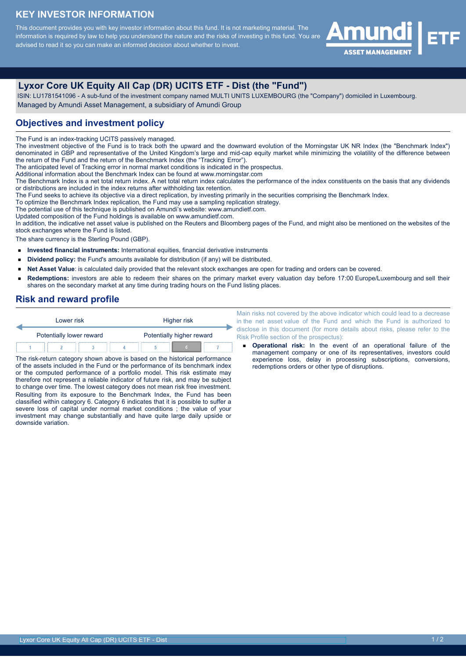### **KEY INVESTOR INFORMATION**

This document provides you with key investor information about this fund. It is not marketing material. The information is required by law to help you understand the nature and the risks of investing in this fund. You are advised to read it so you can make an informed decision about whether to invest.



# **Lyxor Core UK Equity All Cap (DR) UCITS ETF - Dist (the "Fund")**

 ISIN: LU1781541096 - A sub-fund of the investment company named MULTI UNITS LUXEMBOURG (the "Company") domiciled in Luxembourg. Managed by Amundi Asset Management, a subsidiary of Amundi Group

#### **Objectives and investment policy**

The Fund is an index-tracking UCITS passively managed.

The investment objective of the Fund is to track both the upward and the downward evolution of the Morningstar UK NR Index (the "Benchmark Index") denominated in GBP and representative of the United Kingdom's large and mid-cap equity market while minimizing the volatility of the difference between the return of the Fund and the return of the Benchmark Index (the "Tracking Error").

The anticipated level of Tracking error in normal market conditions is indicated in the prospectus.

Additional information about the Benchmark Index can be found at www.morningstar.com

The Benchmark Index is a net total return index. A net total return index calculates the performance of the index constituents on the basis that any dividends or distributions are included in the index returns after withholding tax retention.

The Fund seeks to achieve its objective via a direct replication, by investing primarily in the securities comprising the Benchmark Index.

To optimize the Benchmark Index replication, the Fund may use a sampling replication strategy.

The potential use of this technique is published on Amundi's website: www.amundietf.com.

Updated composition of the Fund holdings is available on www.amundietf.com.

In addition, the indicative net asset value is published on the Reuters and Bloomberg pages of the Fund, and might also be mentioned on the websites of the stock exchanges where the Fund is listed.

The share currency is the Sterling Pound (GBP).

- **Invested financial instruments:** International equities, financial derivative instruments
- $\blacksquare$ **Dividend policy:** the Fund's amounts available for distribution (if any) will be distributed.
- **Net Asset Value**: is calculated daily provided that the relevant stock exchanges are open for trading and orders can be covered.  $\blacksquare$
- **Redemptions:** investors are able to redeem their shares on the primary market every valuation day before 17:00 Europe/Luxembourg and sell their shares on the secondary market at any time during trading hours on the Fund listing places.

#### **Risk and reward profile**

| Lower risk               |                           | Higher risk |  |  |  |
|--------------------------|---------------------------|-------------|--|--|--|
| Potentially lower reward | Potentially higher reward |             |  |  |  |
|                          |                           |             |  |  |  |

The risk-return category shown above is based on the historical performance of the assets included in the Fund or the performance of its benchmark index or the computed performance of a portfolio model. This risk estimate may therefore not represent a reliable indicator of future risk, and may be subject to change over time. The lowest category does not mean risk free investment. Resulting from its exposure to the Benchmark Index, the Fund has been classified within category 6. Category 6 indicates that it is possible to suffer a severe loss of capital under normal market conditions ; the value of your investment may change substantially and have quite large daily upside or downside variation.

Main risks not covered by the above indicator which could lead to a decrease in the net asset value of the Fund and which the Fund is authorized to disclose in this document (for more details about risks, please refer to the Risk Profile section of the prospectus):

**Operational risk:** In the event of an operational failure of the management company or one of its representatives, investors could experience loss, delay in processing subscriptions, conversions, redemptions orders or other type of disruptions.